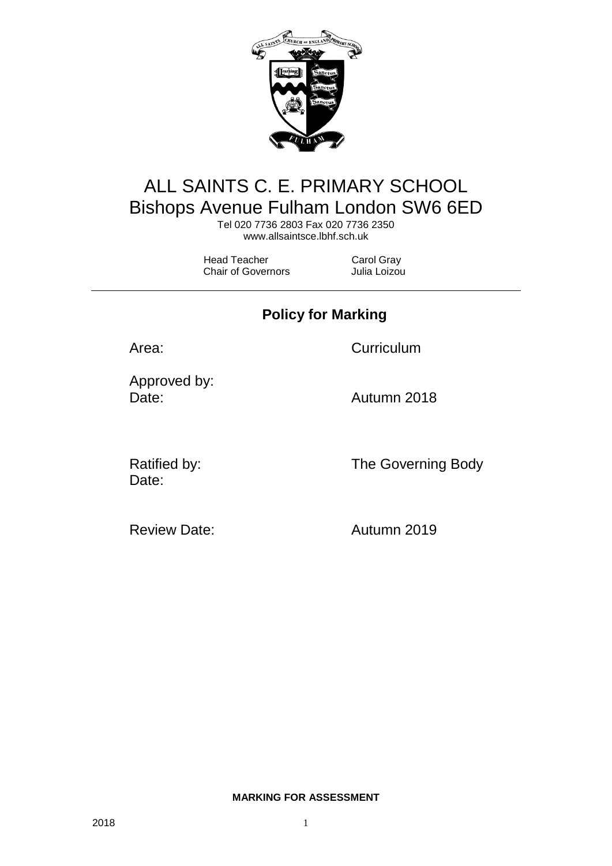

# ALL SAINTS C. E. PRIMARY SCHOOL Bishops Avenue Fulham London SW6 6ED

Tel 020 7736 2803 Fax 020 7736 2350 [www.allsaintsce.lbhf.sch.uk](http://www.allsaintsce.lbhf.sch.uk/)

Head Teacher Carol Gray Chair of Governors Julia Loizou

**Policy for Marking**

Area: Curriculum

Approved by: Date: **Date:** Autumn 2018

Date:

Ratified by: The Governing Body

Review Date: Autumn 2019

**MARKING FOR ASSESSMENT**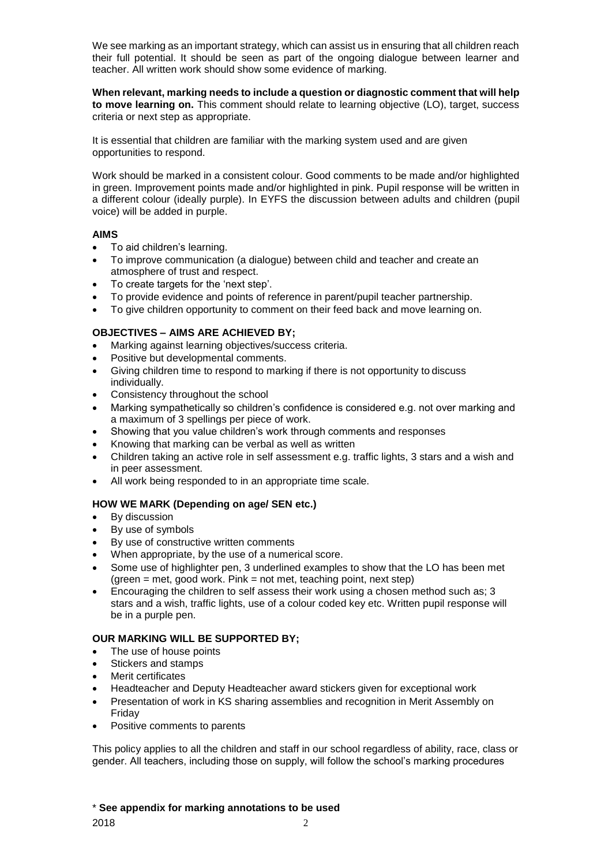We see marking as an important strategy, which can assist us in ensuring that all children reach their full potential. It should be seen as part of the ongoing dialogue between learner and teacher. All written work should show some evidence of marking.

**When relevant, marking needs to include a question or diagnostic comment that will help to move learning on.** This comment should relate to learning objective (LO), target, success criteria or next step as appropriate.

It is essential that children are familiar with the marking system used and are given opportunities to respond.

Work should be marked in a consistent colour. Good comments to be made and/or highlighted in green. Improvement points made and/or highlighted in pink. Pupil response will be written in a different colour (ideally purple). In EYFS the discussion between adults and children (pupil voice) will be added in purple.

#### **AIMS**

- To aid children's learning.
- To improve communication (a dialogue) between child and teacher and create an atmosphere of trust and respect.
- To create targets for the 'next step'.
- To provide evidence and points of reference in parent/pupil teacher partnership.
- To give children opportunity to comment on their feed back and move learning on.

### **OBJECTIVES – AIMS ARE ACHIEVED BY;**

- Marking against learning objectives/success criteria.
- Positive but developmental comments.
- Giving children time to respond to marking if there is not opportunity to discuss individually.
- Consistency throughout the school
- Marking sympathetically so children's confidence is considered e.g. not over marking and a maximum of 3 spellings per piece of work.
- Showing that you value children's work through comments and responses
- Knowing that marking can be verbal as well as written
- Children taking an active role in self assessment e.g. traffic lights, 3 stars and a wish and in peer assessment.
- All work being responded to in an appropriate time scale.

#### **HOW WE MARK (Depending on age/ SEN etc.)**

- By discussion
- By use of symbols
- By use of constructive written comments
- When appropriate, by the use of a numerical score.
- Some use of highlighter pen, 3 underlined examples to show that the LO has been met  $(green = met, good work. Pink = not met, teaching point, next step)$
- Encouraging the children to self assess their work using a chosen method such as; 3 stars and a wish, traffic lights, use of a colour coded key etc. Written pupil response will be in a purple pen.

#### **OUR MARKING WILL BE SUPPORTED BY;**

- The use of house points
- Stickers and stamps
- Merit certificates
- Headteacher and Deputy Headteacher award stickers given for exceptional work
- Presentation of work in KS sharing assemblies and recognition in Merit Assembly on Friday
- Positive comments to parents

This policy applies to all the children and staff in our school regardless of ability, race, class or gender. All teachers, including those on supply, will follow the school's marking procedures

#### \* **See appendix for marking annotations to be used**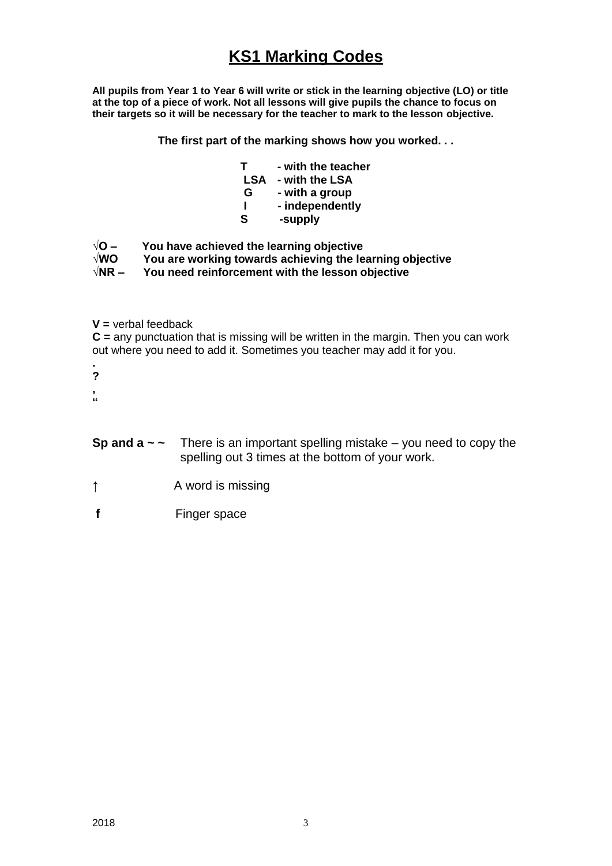## **KS1 Marking Codes**

**All pupils from Year 1 to Year 6 will write or stick in the learning objective (LO) or title at the top of a piece of work. Not all lessons will give pupils the chance to focus on their targets so it will be necessary for the teacher to mark to the lesson objective.**

**The first part of the marking shows how you worked. . .**

- **T - with the teacher**
- **LSA - with the LSA**
- **G - with a group**
- **I - independently**
- **S -supply**
- **√O – You have achieved the learning objective**
- **√WO You are working towards achieving the learning objective**
- **√NR – You need reinforcement with the lesson objective**
- **V =** verbal feedback

**C =** any punctuation that is missing will be written in the margin. Then you can work out where you need to add it. Sometimes you teacher may add it for you.

- **. ?**
- **,**
- **"**
- **Sp and**  $a \sim \sim$  There is an important spelling mistake you need to copy the spelling out 3 times at the bottom of your work.
- ↑ **A** word is missing
- **f** Finger space